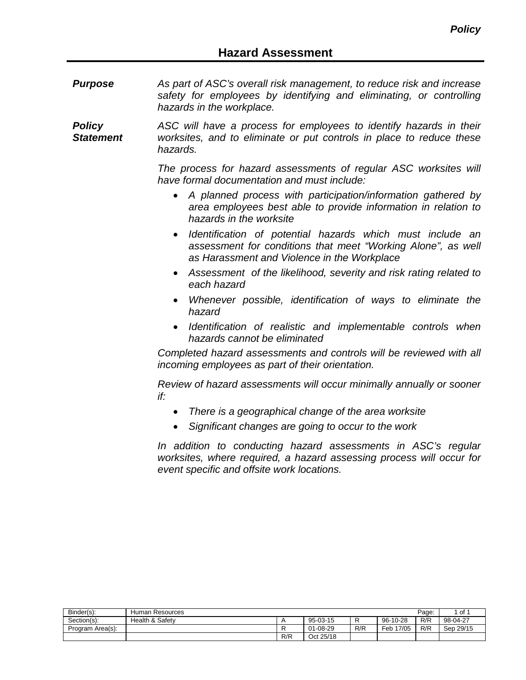*Purpose As part of ASC's overall risk management, to reduce risk and increase safety for employees by identifying and eliminating, or controlling hazards in the workplace.*

*Policy Statement ASC will have a process for employees to identify hazards in their worksites, and to eliminate or put controls in place to reduce these hazards.*

> *The process for hazard assessments of regular ASC worksites will have formal documentation and must include:*

- *A planned process with participation/information gathered by area employees best able to provide information in relation to hazards in the worksite*
- *Identification of potential hazards which must include an assessment for conditions that meet "Working Alone", as well as Harassment and Violence in the Workplace*
- *Assessment of the likelihood, severity and risk rating related to each hazard*
- *Whenever possible, identification of ways to eliminate the hazard*
- *Identification of realistic and implementable controls when hazards cannot be eliminated*

*Completed hazard assessments and controls will be reviewed with all incoming employees as part of their orientation.*

*Review of hazard assessments will occur minimally annually or sooner if:*

- *There is a geographical change of the area worksite*
- *Significant changes are going to occur to the work*

*In addition to conducting hazard assessments in ASC's regular worksites, where required, a hazard assessing process will occur for event specific and offsite work locations.*

| Binder(s):       | Human Resources |     |           |     |              | Page: | 1 of      |
|------------------|-----------------|-----|-----------|-----|--------------|-------|-----------|
| Section(s):      | Health & Safety |     | 95-03-15  |     | 96-10-28     | R/R   | 98-04-27  |
| Program Area(s): |                 |     | 01-08-29  | R/R | 17/05<br>⊏eb | R/R   | Sep 29/15 |
|                  |                 | R/R | Oct 25/18 |     |              |       |           |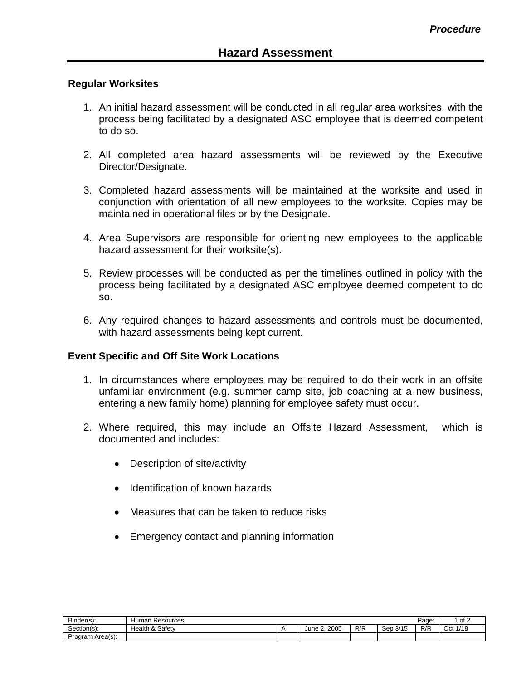## **Regular Worksites**

- 1. An initial hazard assessment will be conducted in all regular area worksites, with the process being facilitated by a designated ASC employee that is deemed competent to do so.
- 2. All completed area hazard assessments will be reviewed by the Executive Director/Designate.
- 3. Completed hazard assessments will be maintained at the worksite and used in conjunction with orientation of all new employees to the worksite. Copies may be maintained in operational files or by the Designate.
- 4. Area Supervisors are responsible for orienting new employees to the applicable hazard assessment for their worksite(s).
- 5. Review processes will be conducted as per the timelines outlined in policy with the process being facilitated by a designated ASC employee deemed competent to do so.
- 6. Any required changes to hazard assessments and controls must be documented, with hazard assessments being kept current.

## **Event Specific and Off Site Work Locations**

- 1. In circumstances where employees may be required to do their work in an offsite unfamiliar environment (e.g. summer camp site, job coaching at a new business, entering a new family home) planning for employee safety must occur.
- 2. Where required, this may include an Offsite Hazard Assessment, which is documented and includes:
	- Description of site/activity
	- Identification of known hazards
	- Measures that can be taken to reduce risks
	- Emergency contact and planning information

| Binder(s):       | n Resources<br>umar . |                   |     |             | Page: | $. \circ f$<br>ے וט   |
|------------------|-----------------------|-------------------|-----|-------------|-------|-----------------------|
| Section(s):      | & Safety<br>Realth &  | . 2005<br>June 2. | R/R | 3/15<br>Sep | R/R   | 4/40<br>Oct<br>17 I C |
| Program Area(s): |                       |                   |     |             |       |                       |